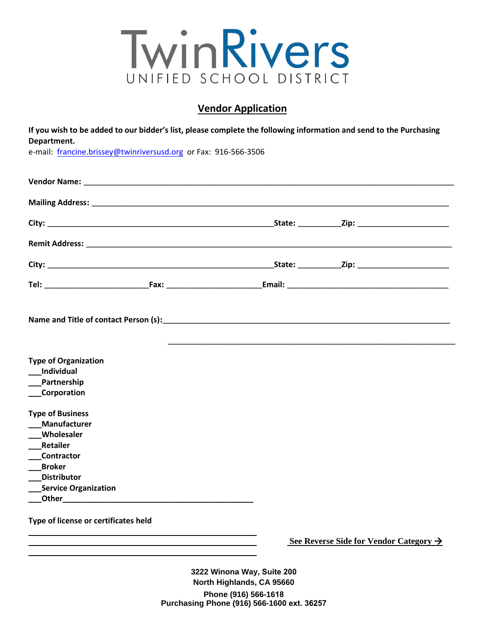

## **Vendor Application**

**If you wish to be added to our bidder's list, please complete the following information and send to the Purchasing Department.** 

e-mail: [francine.brissey](mailto:ruth.hall@twinriversusd.org)@twinriversusd.org or Fax: 916-566-3506

| Name and Title of contact Person (s): Name and Title of contact Person (s):                                                                                       |  |  |
|-------------------------------------------------------------------------------------------------------------------------------------------------------------------|--|--|
| <b>Type of Organization</b><br>Individual<br>Partnership<br><b>Corporation</b>                                                                                    |  |  |
| <b>Type of Business</b><br><b>Manufacturer</b><br>__Wholesaler<br>Retailer<br>___Contractor<br><b>Broker</b><br><b>Distributor</b><br><b>Service Organization</b> |  |  |
| Type of license or certificates held                                                                                                                              |  |  |

**See Reverse Side for Vendor Category** 

**3222 Winona Way, Suite 200 North Highlands, CA 95660 Phone (916) 566-1618 Purchasing Phone (916) 566-1600 ext. 36257**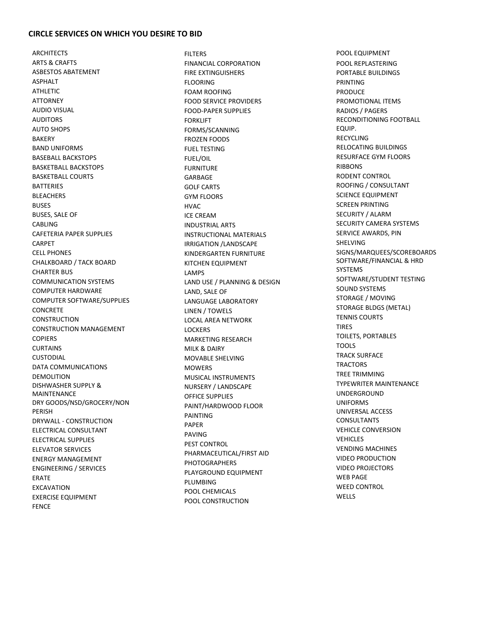## **CIRCLE SERVICES ON WHICH YOU DESIRE TO BID**

**ARCHITECTS** ARTS & CRAFTS ASBESTOS ABATEMENT ASPHALT ATHLETIC ATTORNEY AUDIO VISUAL AUDITORS AUTO SHOPS BAKERY BAND UNIFORMS BASEBALL BACKSTOPS BASKETBALL BACKSTOPS BASKETBALL COURTS **BATTERIES BLEACHERS** BUSES BUSES, SALE OF **CABLING** CAFETERIA PAPER SUPPLIES **CARPET** CELL PHONES CHALKBOARD / TACK BOARD CHARTER BUS COMMUNICATION SYSTEMS COMPUTER HARDWARE COMPUTER SOFTWARE/SUPPLIES **CONCRETE CONSTRUCTION** CONSTRUCTION MANAGEMENT **COPIERS CURTAINS CUSTODIAL** DATA COMMUNICATIONS DEMOLITION DISHWASHER SUPPLY & MAINTENANCE DRY GOODS/NSD/GROCERY/NON PERISH DRYWALL - CONSTRUCTION ELECTRICAL CONSULTANT ELECTRICAL SUPPLIES ELEVATOR SERVICES ENERGY MANAGEMENT ENGINEERING / SERVICES ERATE EXCAVATION EXERCISE EQUIPMENT FENCE

FILTERS FINANCIAL CORPORATION FIRE EXTINGUISHERS FLOORING FOAM ROOFING FOOD SERVICE PROVIDERS FOOD-PAPER SUPPLIES FORKLIFT FORMS/SCANNING FROZEN FOODS FUEL TESTING FUEL/OIL FURNITURE GARBAGE GOLF CARTS GYM FLOORS HVAC ICE CREAM INDUSTRIAL ARTS INSTRUCTIONAL MATERIALS IRRIGATION /LANDSCAPE KINDERGARTEN FURNITURE KITCHEN EQUIPMENT LAMPS LAND USE / PLANNING & DESIGN LAND, SALE OF LANGUAGE LABORATORY LINEN / TOWELS LOCAL AREA NETWORK LOCKERS MARKETING RESEARCH MILK & DAIRY MOVABLE SHELVING **MOWERS** MUSICAL INSTRUMENTS NURSERY / LANDSCAPE OFFICE SUPPLIES PAINT/HARDWOOD FLOOR PAINTING PAPER PAVING PEST CONTROL PHARMACEUTICAL/FIRST AID PHOTOGRAPHERS PLAYGROUND EQUIPMENT PLUMBING POOL CHEMICALS POOL CONSTRUCTION

POOL EQUIPMENT POOL REPLASTERING PORTABLE BUILDINGS PRINTING PRODUCE PROMOTIONAL ITEMS RADIOS / PAGERS RECONDITIONING FOOTBALL EQUIP. RECYCLING RELOCATING BUILDINGS RESURFACE GYM FLOORS **RIBBONS** RODENT CONTROL ROOFING / CONSULTANT SCIENCE EQUIPMENT SCREEN PRINTING SECURITY / ALARM SECURITY CAMERA SYSTEMS SERVICE AWARDS, PIN SHELVING SIGNS/MARQUEES/SCOREBOARDS SOFTWARE/FINANCIAL & HRD **SYSTEMS** SOFTWARE/STUDENT TESTING SOUND SYSTEMS STORAGE / MOVING STORAGE BLDGS (METAL) TENNIS COURTS TIRES TOILETS, PORTABLES TOOLS TRACK SURFACE **TRACTORS** TREE TRIMMING TYPEWRITER MAINTENANCE UNDERGROUND UNIFORMS UNIVERSAL ACCESS CONSULTANTS VEHICLE CONVERSION VEHICLES VENDING MACHINES VIDEO PRODUCTION VIDEO PROJECTORS WEB PAGE WEED CONTROL **WELLS**